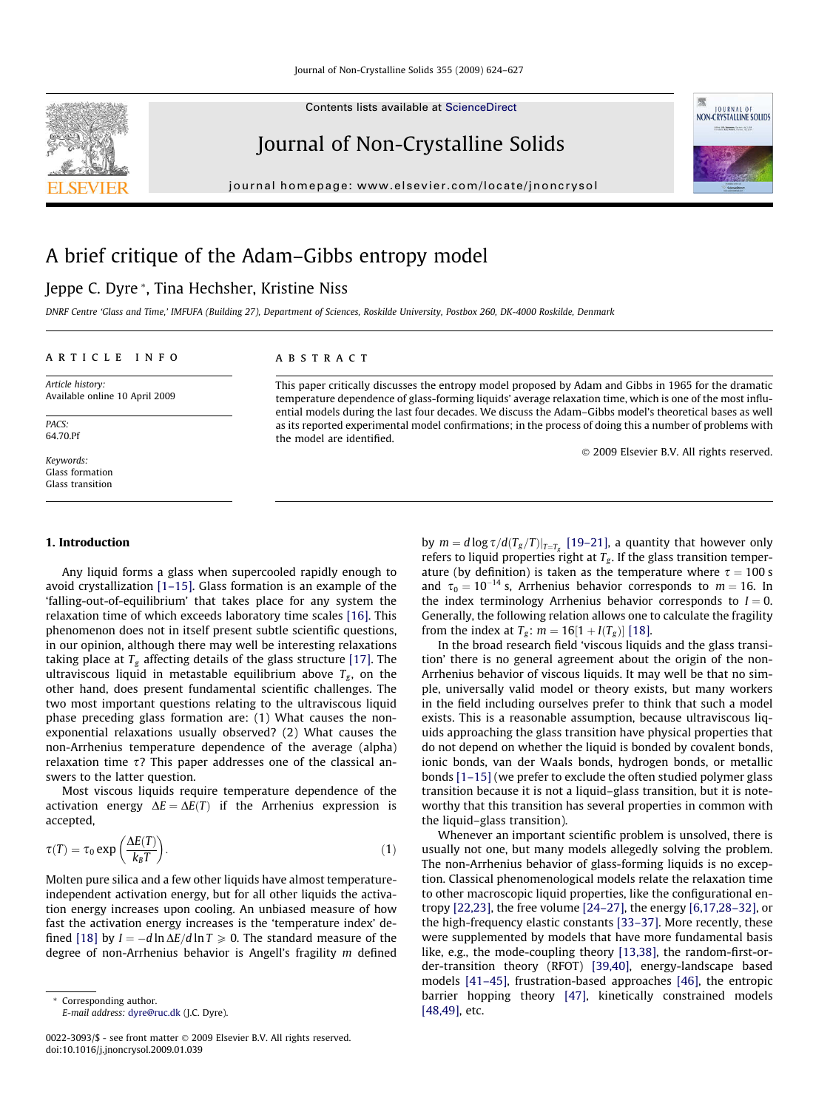Contents lists available at [ScienceDirect](http://www.sciencedirect.com/science/journal/00223093)

## Journal of Non-Crystalline Solids

journal homepage: [www.elsevier.com/locate/jnoncrysol](http://www.elsevier.com/locate/jnoncrysol)

# A brief critique of the Adam–Gibbs entropy model

## Jeppe C. Dyre \*, Tina Hechsher, Kristine Niss

DNRF Centre 'Glass and Time,' IMFUFA (Building 27), Department of Sciences, Roskilde University, Postbox 260, DK-4000 Roskilde, Denmark

abstract

the model are identified.

#### article info

Article history: Available online 10 April 2009

PACS: 64.70.Pf

Keywords: Glass formation Glass transition

#### 1. Introduction

Any liquid forms a glass when supercooled rapidly enough to avoid crystallization [\[1–15\]](#page-2-0). Glass formation is an example of the 'falling-out-of-equilibrium' that takes place for any system the relaxation time of which exceeds laboratory time scales [\[16\].](#page-2-0) This phenomenon does not in itself present subtle scientific questions, in our opinion, although there may well be interesting relaxations taking place at  $T_g$  affecting details of the glass structure [\[17\]](#page-2-0). The ultraviscous liquid in metastable equilibrium above  $T_g$ , on the other hand, does present fundamental scientific challenges. The two most important questions relating to the ultraviscous liquid phase preceding glass formation are: (1) What causes the nonexponential relaxations usually observed? (2) What causes the non-Arrhenius temperature dependence of the average (alpha) relaxation time  $\tau$ ? This paper addresses one of the classical answers to the latter question.

Most viscous liquids require temperature dependence of the activation energy  $\Delta E = \Delta E(T)$  if the Arrhenius expression is accepted,

$$
\tau(T) = \tau_0 \exp\left(\frac{\Delta E(T)}{k_B T}\right).
$$
\n(1)

Molten pure silica and a few other liquids have almost temperatureindependent activation energy, but for all other liquids the activation energy increases upon cooling. An unbiased measure of how fast the activation energy increases is the 'temperature index' de-fined [\[18\]](#page-2-0) by  $I = -d \ln \Delta E / d \ln T \geqslant 0.$  The standard measure of the degree of non-Arrhenius behavior is Angell's fragility m defined

by  $m = d \log \tau / d(T_g/T)|_{T=T_g}$  [\[19–21\],](#page-2-0) a quantity that however only refers to liquid properties right at  $T_g$ . If the glass transition temperature (by definition) is taken as the temperature where  $\tau = 100$  s and  $\tau_0 = 10^{-14}$  s, Arrhenius behavior corresponds to  $m = 16$ . In the index terminology Arrhenius behavior corresponds to  $I = 0$ . Generally, the following relation allows one to calculate the fragility from the index at  $T_g$ :  $m = 16[1 + I(T_g)]$  [\[18\].](#page-2-0)

This paper critically discusses the entropy model proposed by Adam and Gibbs in 1965 for the dramatic temperature dependence of glass-forming liquids' average relaxation time, which is one of the most influential models during the last four decades. We discuss the Adam–Gibbs model's theoretical bases as well as its reported experimental model confirmations; in the process of doing this a number of problems with

> In the broad research field 'viscous liquids and the glass transition' there is no general agreement about the origin of the non-Arrhenius behavior of viscous liquids. It may well be that no simple, universally valid model or theory exists, but many workers in the field including ourselves prefer to think that such a model exists. This is a reasonable assumption, because ultraviscous liquids approaching the glass transition have physical properties that do not depend on whether the liquid is bonded by covalent bonds, ionic bonds, van der Waals bonds, hydrogen bonds, or metallic bonds [\[1–15\]](#page-2-0) (we prefer to exclude the often studied polymer glass transition because it is not a liquid–glass transition, but it is noteworthy that this transition has several properties in common with the liquid–glass transition).

> Whenever an important scientific problem is unsolved, there is usually not one, but many models allegedly solving the problem. The non-Arrhenius behavior of glass-forming liquids is no exception. Classical phenomenological models relate the relaxation time to other macroscopic liquid properties, like the configurational entropy [\[22,23\]](#page-3-0), the free volume [\[24–27\],](#page-3-0) the energy [\[6,17,28–32\],](#page-2-0) or the high-frequency elastic constants [\[33–37\]](#page-3-0). More recently, these were supplemented by models that have more fundamental basis like, e.g., the mode-coupling theory [\[13,38\]](#page-2-0), the random-first-order-transition theory (RFOT) [\[39,40\]](#page-3-0), energy-landscape based models [\[41–45\],](#page-3-0) frustration-based approaches [\[46\],](#page-3-0) the entropic barrier hopping theory [\[47\]](#page-3-0), kinetically constrained models [\[48,49\],](#page-3-0) etc.







E-mail address: [dyre@ruc.dk](mailto:dyre@ruc.dk) (J.C. Dyre).

<sup>0022-3093/\$ -</sup> see front matter © 2009 Elsevier B.V. All rights reserved. doi:10.1016/j.jnoncrysol.2009.01.039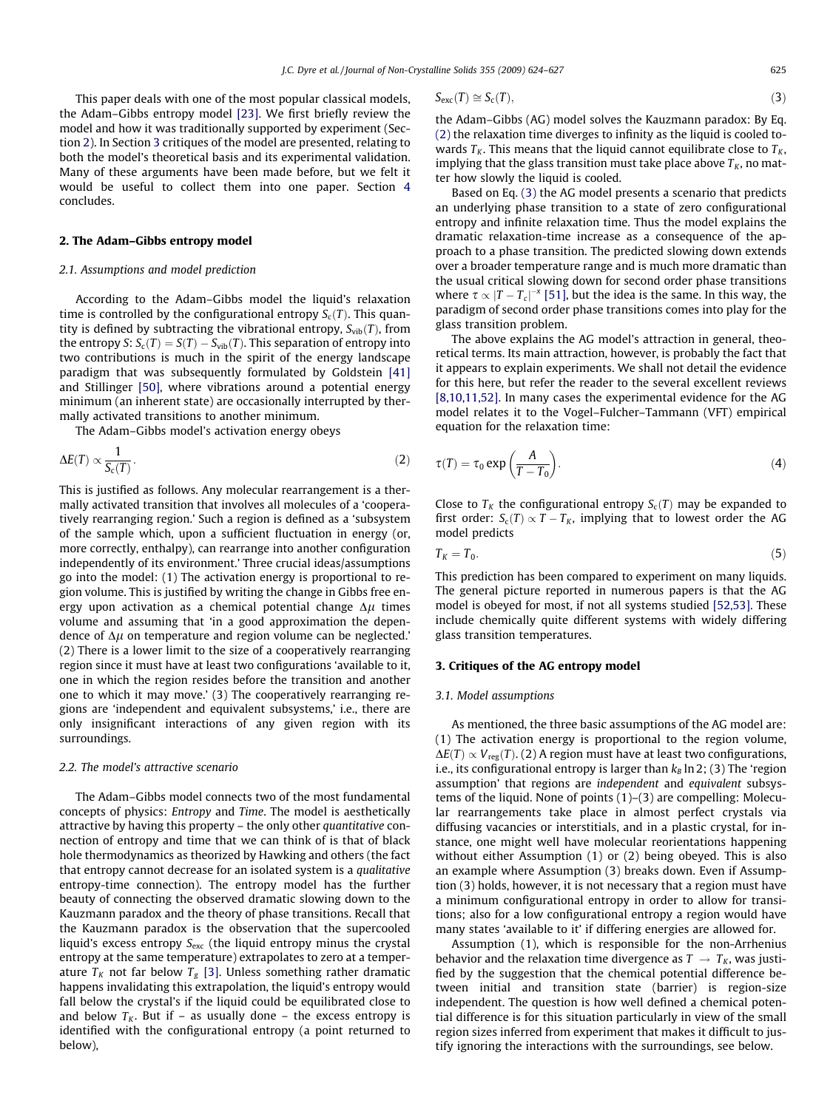<span id="page-1-0"></span>This paper deals with one of the most popular classical models, the Adam–Gibbs entropy model [\[23\].](#page-3-0) We first briefly review the model and how it was traditionally supported by experiment (Section 2). In Section 3 critiques of the model are presented, relating to both the model's theoretical basis and its experimental validation. Many of these arguments have been made before, but we felt it would be useful to collect them into one paper. Section [4](#page-2-0) concludes.

#### 2. The Adam–Gibbs entropy model

### 2.1. Assumptions and model prediction

According to the Adam–Gibbs model the liquid's relaxation time is controlled by the configurational entropy  $S_c(T)$ . This quantity is defined by subtracting the vibrational entropy,  $S_{vib}(T)$ , from the entropy S:  $\mathcal{S}_\text{c}(T) = \mathcal{S}(T) - \mathcal{S}_\text{vib}(T).$  This separation of entropy into two contributions is much in the spirit of the energy landscape paradigm that was subsequently formulated by Goldstein [\[41\]](#page-3-0) and Stillinger [\[50\]](#page-3-0), where vibrations around a potential energy minimum (an inherent state) are occasionally interrupted by thermally activated transitions to another minimum.

The Adam–Gibbs model's activation energy obeys

$$
\Delta E(T) \propto \frac{1}{S_c(T)}.\tag{2}
$$

This is justified as follows. Any molecular rearrangement is a thermally activated transition that involves all molecules of a 'cooperatively rearranging region.' Such a region is defined as a 'subsystem of the sample which, upon a sufficient fluctuation in energy (or, more correctly, enthalpy), can rearrange into another configuration independently of its environment.' Three crucial ideas/assumptions go into the model: (1) The activation energy is proportional to region volume. This is justified by writing the change in Gibbs free energy upon activation as a chemical potential change  $\Delta \mu$  times volume and assuming that 'in a good approximation the dependence of  $\Delta \mu$  on temperature and region volume can be neglected.' (2) There is a lower limit to the size of a cooperatively rearranging region since it must have at least two configurations 'available to it, one in which the region resides before the transition and another one to which it may move.' (3) The cooperatively rearranging regions are 'independent and equivalent subsystems,' i.e., there are only insignificant interactions of any given region with its surroundings.

#### 2.2. The model's attractive scenario

The Adam–Gibbs model connects two of the most fundamental concepts of physics: Entropy and Time. The model is aesthetically attractive by having this property – the only other quantitative connection of entropy and time that we can think of is that of black hole thermodynamics as theorized by Hawking and others (the fact that entropy cannot decrease for an isolated system is a qualitative entropy-time connection). The entropy model has the further beauty of connecting the observed dramatic slowing down to the Kauzmann paradox and the theory of phase transitions. Recall that the Kauzmann paradox is the observation that the supercooled liquid's excess entropy  $S_{\text{exc}}$  (the liquid entropy minus the crystal entropy at the same temperature) extrapolates to zero at a temperature  $T_K$  not far below  $T_g$  [\[3\].](#page-2-0) Unless something rather dramatic happens invalidating this extrapolation, the liquid's entropy would fall below the crystal's if the liquid could be equilibrated close to and below  $T_K$ . But if – as usually done – the excess entropy is identified with the configurational entropy (a point returned to below),

$$
S_{\text{exc}}(T) \cong S_{\text{c}}(T),\tag{3}
$$

the Adam–Gibbs (AG) model solves the Kauzmann paradox: By Eq. (2) the relaxation time diverges to infinity as the liquid is cooled towards  $T_K$ . This means that the liquid cannot equilibrate close to  $T_K$ , implying that the glass transition must take place above  $T_K$ , no matter how slowly the liquid is cooled.

Based on Eq. (3) the AG model presents a scenario that predicts an underlying phase transition to a state of zero configurational entropy and infinite relaxation time. Thus the model explains the dramatic relaxation-time increase as a consequence of the approach to a phase transition. The predicted slowing down extends over a broader temperature range and is much more dramatic than the usual critical slowing down for second order phase transitions where  $\tau \propto |T - T_c|^{-\kappa}$  [\[51\],](#page-3-0) but the idea is the same. In this way, the paradigm of second order phase transitions comes into play for the glass transition problem.

The above explains the AG model's attraction in general, theoretical terms. Its main attraction, however, is probably the fact that it appears to explain experiments. We shall not detail the evidence for this here, but refer the reader to the several excellent reviews [\[8,10,11,52\]](#page-2-0). In many cases the experimental evidence for the AG model relates it to the Vogel–Fulcher–Tammann (VFT) empirical equation for the relaxation time:

$$
\tau(T) = \tau_0 \exp\left(\frac{A}{T - T_0}\right).
$$
\n(4)

Close to  $T_K$  the configurational entropy  $S_c(T)$  may be expanded to first order:  $S_c(T) \propto T - T_K$ , implying that to lowest order the AG model predicts

$$
T_K = T_0. \tag{5}
$$

This prediction has been compared to experiment on many liquids. The general picture reported in numerous papers is that the AG model is obeyed for most, if not all systems studied [\[52,53\].](#page-3-0) These include chemically quite different systems with widely differing glass transition temperatures.

#### 3. Critiques of the AG entropy model

#### 3.1. Model assumptions

As mentioned, the three basic assumptions of the AG model are: (1) The activation energy is proportional to the region volume,  $\Delta E(T) \propto V_{\text{reg}}(T)$ . (2) A region must have at least two configurations, i.e., its configurational entropy is larger than  $k_B$  ln 2; (3) The 'region assumption' that regions are independent and equivalent subsystems of the liquid. None of points (1)–(3) are compelling: Molecular rearrangements take place in almost perfect crystals via diffusing vacancies or interstitials, and in a plastic crystal, for instance, one might well have molecular reorientations happening without either Assumption (1) or (2) being obeyed. This is also an example where Assumption (3) breaks down. Even if Assumption (3) holds, however, it is not necessary that a region must have a minimum configurational entropy in order to allow for transitions; also for a low configurational entropy a region would have many states 'available to it' if differing energies are allowed for.

Assumption (1), which is responsible for the non-Arrhenius behavior and the relaxation time divergence as  $T \rightarrow T_K$ , was justified by the suggestion that the chemical potential difference between initial and transition state (barrier) is region-size independent. The question is how well defined a chemical potential difference is for this situation particularly in view of the small region sizes inferred from experiment that makes it difficult to justify ignoring the interactions with the surroundings, see below.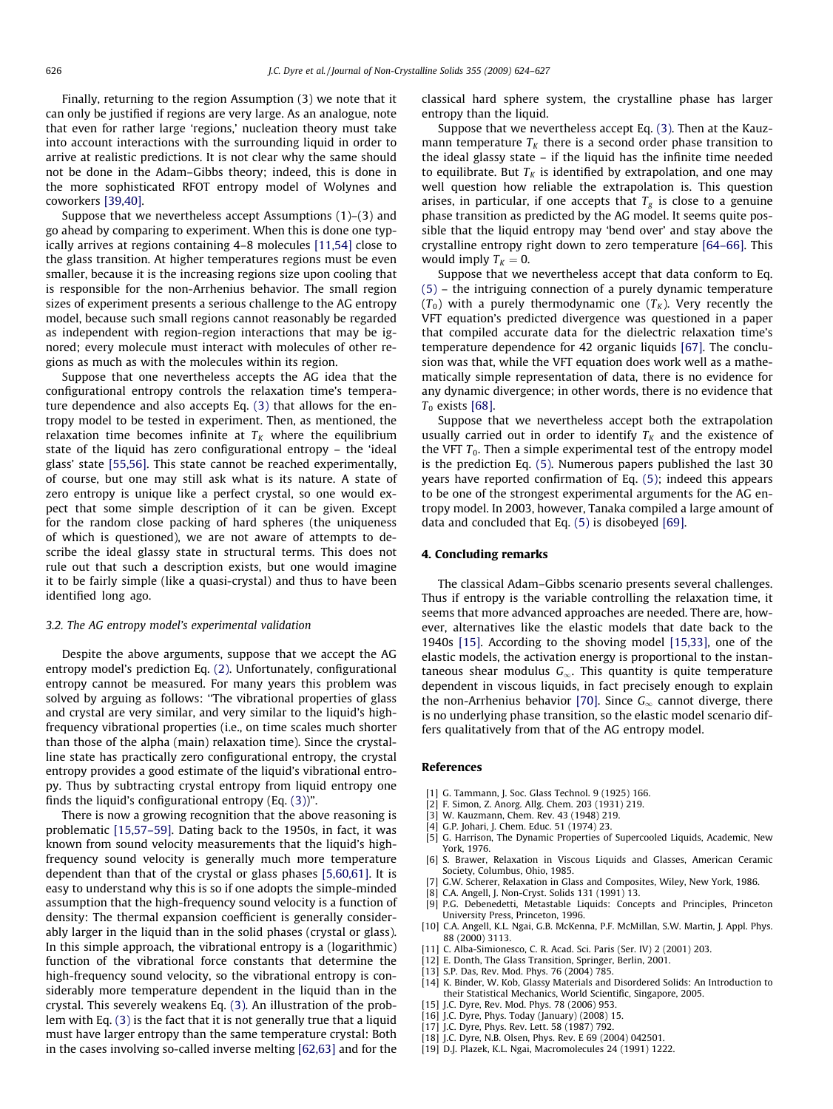<span id="page-2-0"></span>Finally, returning to the region Assumption (3) we note that it can only be justified if regions are very large. As an analogue, note that even for rather large 'regions,' nucleation theory must take into account interactions with the surrounding liquid in order to arrive at realistic predictions. It is not clear why the same should not be done in the Adam–Gibbs theory; indeed, this is done in the more sophisticated RFOT entropy model of Wolynes and coworkers [\[39,40\]](#page-3-0).

Suppose that we nevertheless accept Assumptions (1)–(3) and go ahead by comparing to experiment. When this is done one typically arrives at regions containing 4–8 molecules [11,54] close to the glass transition. At higher temperatures regions must be even smaller, because it is the increasing regions size upon cooling that is responsible for the non-Arrhenius behavior. The small region sizes of experiment presents a serious challenge to the AG entropy model, because such small regions cannot reasonably be regarded as independent with region-region interactions that may be ignored; every molecule must interact with molecules of other regions as much as with the molecules within its region.

Suppose that one nevertheless accepts the AG idea that the configurational entropy controls the relaxation time's temperature dependence and also accepts Eq. [\(3\)](#page-1-0) that allows for the entropy model to be tested in experiment. Then, as mentioned, the relaxation time becomes infinite at  $T_K$  where the equilibrium state of the liquid has zero configurational entropy – the 'ideal glass' state [\[55,56\].](#page-3-0) This state cannot be reached experimentally, of course, but one may still ask what is its nature. A state of zero entropy is unique like a perfect crystal, so one would expect that some simple description of it can be given. Except for the random close packing of hard spheres (the uniqueness of which is questioned), we are not aware of attempts to describe the ideal glassy state in structural terms. This does not rule out that such a description exists, but one would imagine it to be fairly simple (like a quasi-crystal) and thus to have been identified long ago.

#### 3.2. The AG entropy model's experimental validation

Despite the above arguments, suppose that we accept the AG entropy model's prediction Eq. [\(2\).](#page-1-0) Unfortunately, configurational entropy cannot be measured. For many years this problem was solved by arguing as follows: ''The vibrational properties of glass and crystal are very similar, and very similar to the liquid's highfrequency vibrational properties (i.e., on time scales much shorter than those of the alpha (main) relaxation time). Since the crystalline state has practically zero configurational entropy, the crystal entropy provides a good estimate of the liquid's vibrational entropy. Thus by subtracting crystal entropy from liquid entropy one finds the liquid's configurational entropy (Eq. [\(3\)\)](#page-1-0)".

There is now a growing recognition that the above reasoning is problematic [15,57–59]. Dating back to the 1950s, in fact, it was known from sound velocity measurements that the liquid's highfrequency sound velocity is generally much more temperature dependent than that of the crystal or glass phases [5,60,61]. It is easy to understand why this is so if one adopts the simple-minded assumption that the high-frequency sound velocity is a function of density: The thermal expansion coefficient is generally considerably larger in the liquid than in the solid phases (crystal or glass). In this simple approach, the vibrational entropy is a (logarithmic) function of the vibrational force constants that determine the high-frequency sound velocity, so the vibrational entropy is considerably more temperature dependent in the liquid than in the crystal. This severely weakens Eq. [\(3\).](#page-1-0) An illustration of the problem with Eq. [\(3\)](#page-1-0) is the fact that it is not generally true that a liquid must have larger entropy than the same temperature crystal: Both in the cases involving so-called inverse melting [\[62,63\]](#page-3-0) and for the classical hard sphere system, the crystalline phase has larger entropy than the liquid.

Suppose that we nevertheless accept Eq. [\(3\)](#page-1-0). Then at the Kauzmann temperature  $T_K$  there is a second order phase transition to the ideal glassy state – if the liquid has the infinite time needed to equilibrate. But  $T_K$  is identified by extrapolation, and one may well question how reliable the extrapolation is. This question arises, in particular, if one accepts that  $T_g$  is close to a genuine phase transition as predicted by the AG model. It seems quite possible that the liquid entropy may 'bend over' and stay above the crystalline entropy right down to zero temperature [\[64–66\]](#page-3-0). This would imply  $T_K = 0$ .

Suppose that we nevertheless accept that data conform to Eq. [\(5\)](#page-1-0) – the intriguing connection of a purely dynamic temperature  $(T_0)$  with a purely thermodynamic one  $(T_K)$ . Very recently the VFT equation's predicted divergence was questioned in a paper that compiled accurate data for the dielectric relaxation time's temperature dependence for 42 organic liquids [\[67\].](#page-3-0) The conclusion was that, while the VFT equation does work well as a mathematically simple representation of data, there is no evidence for any dynamic divergence; in other words, there is no evidence that  $T_0$  exists [\[68\].](#page-3-0)

Suppose that we nevertheless accept both the extrapolation usually carried out in order to identify  $T_K$  and the existence of the VFT  $T_0$ . Then a simple experimental test of the entropy model is the prediction Eq. [\(5\)](#page-1-0). Numerous papers published the last 30 years have reported confirmation of Eq. [\(5\);](#page-1-0) indeed this appears to be one of the strongest experimental arguments for the AG entropy model. In 2003, however, Tanaka compiled a large amount of data and concluded that Eq. [\(5\)](#page-1-0) is disobeyed [\[69\]](#page-3-0).

#### 4. Concluding remarks

The classical Adam–Gibbs scenario presents several challenges. Thus if entropy is the variable controlling the relaxation time, it seems that more advanced approaches are needed. There are, however, alternatives like the elastic models that date back to the 1940s [15]. According to the shoving model [15,33], one of the elastic models, the activation energy is proportional to the instantaneous shear modulus  $G_{\infty}$ . This quantity is quite temperature dependent in viscous liquids, in fact precisely enough to explain the non-Arrhenius behavior [\[70\]](#page-3-0). Since  $G_{\infty}$  cannot diverge, there is no underlying phase transition, so the elastic model scenario differs qualitatively from that of the AG entropy model.

#### References

- [1] G. Tammann, J. Soc. Glass Technol. 9 (1925) 166.
- [2] F. Simon, Z. Anorg. Allg. Chem. 203 (1931) 219.
- [3] W. Kauzmann, Chem. Rev. 43 (1948) 219.
- [4] G.P. Johari, J. Chem. Educ. 51 (1974) 23.
- [5] G. Harrison, The Dynamic Properties of Supercooled Liquids, Academic, New York, 1976.
- [6] S. Brawer, Relaxation in Viscous Liquids and Glasses, American Ceramic Society, Columbus, Ohio, 1985.
- G.W. Scherer, Relaxation in Glass and Composites, Wiley, New York, 1986.
- C.A. Angell, J. Non-Cryst. Solids 131 (1991) 13.
- [9] P.G. Debenedetti, Metastable Liquids: Concepts and Principles, Princeton University Press, Princeton, 1996.
- [10] C.A. Angell, K.L. Ngai, G.B. McKenna, P.F. McMillan, S.W. Martin, J. Appl. Phys. 88 (2000) 3113.
- [11] C. Alba-Simionesco, C. R. Acad. Sci. Paris (Ser. IV) 2 (2001) 203.
- [12] E. Donth, The Glass Transition, Springer, Berlin, 2001.
- [13] S.P. Das, Rev. Mod. Phys. 76 (2004) 785.
- [14] K. Binder, W. Kob, Glassy Materials and Disordered Solids: An Introduction to their Statistical Mechanics, World Scientific, Singapore, 2005.
- [15] J.C. Dyre, Rev. Mod. Phys. 78 (2006) 953.
- [16] J.C. Dyre, Phys. Today (January) (2008) 15.
- [17] J.C. Dyre, Phys. Rev. Lett. 58 (1987) 792.
- [18] J.C. Dyre, N.B. Olsen, Phys. Rev. E 69 (2004) 042501.
- [19] D.J. Plazek, K.L. Ngai, Macromolecules 24 (1991) 1222.